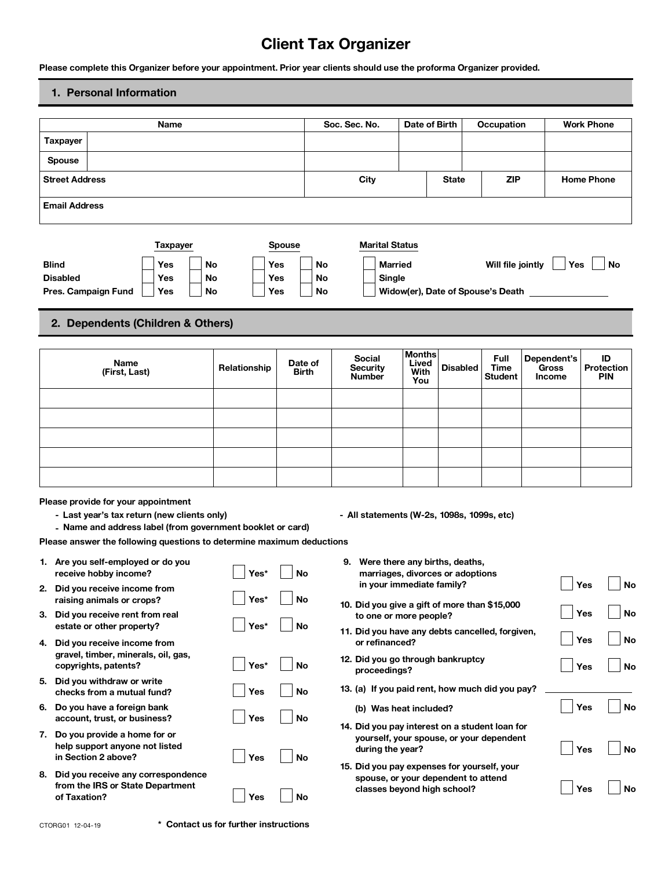# **Client Tax Organizer**

**Please complete this Organizer before your appointment. Prior year clients should use the proforma Organizer provided.**

## **1. Personal Information**

|                                                                | Name                                                                                                                                             |              |                     | Soc. Sec. No.                                                      |                                | Date of Birth                                                      | Occupation                            |                                       | <b>Work Phone</b>                     |
|----------------------------------------------------------------|--------------------------------------------------------------------------------------------------------------------------------------------------|--------------|---------------------|--------------------------------------------------------------------|--------------------------------|--------------------------------------------------------------------|---------------------------------------|---------------------------------------|---------------------------------------|
| Taxpayer                                                       |                                                                                                                                                  |              |                     |                                                                    |                                |                                                                    |                                       |                                       |                                       |
| <b>Spouse</b>                                                  |                                                                                                                                                  |              |                     |                                                                    |                                |                                                                    |                                       |                                       |                                       |
| <b>Street Address</b>                                          |                                                                                                                                                  |              |                     | City                                                               |                                | <b>State</b>                                                       | <b>ZIP</b>                            |                                       | <b>Home Phone</b>                     |
| <b>Email Address</b>                                           |                                                                                                                                                  |              |                     |                                                                    |                                |                                                                    |                                       |                                       |                                       |
| <b>Blind</b>                                                   | <b>Taxpayer</b><br>Yes                                                                                                                           | No<br>Yes    | <b>Spouse</b><br>No | <b>Marital Status</b><br><b>Married</b>                            |                                |                                                                    |                                       | Yes                                   | No                                    |
| <b>Disabled</b>                                                | Yes                                                                                                                                              | No<br>Yes    | No                  | Single                                                             |                                |                                                                    | Will file jointly                     |                                       |                                       |
| Pres. Campaign Fund                                            | Yes                                                                                                                                              | Yes<br>No    | No                  |                                                                    |                                | Widow(er), Date of Spouse's Death                                  |                                       |                                       |                                       |
|                                                                | 2. Dependents (Children & Others)                                                                                                                |              |                     |                                                                    |                                |                                                                    |                                       |                                       |                                       |
|                                                                | Name<br>(First, Last)                                                                                                                            | Relationship | Date of<br>Birth    | Social<br><b>Security</b><br><b>Number</b>                         | <b>Months</b><br>Lived<br>With | <b>Disabled</b>                                                    | Full<br><b>Time</b><br><b>Student</b> | Dependent's<br>Gross<br><b>Income</b> | ID<br><b>Protection</b><br><b>PIN</b> |
|                                                                |                                                                                                                                                  |              |                     |                                                                    | You                            |                                                                    |                                       |                                       |                                       |
|                                                                |                                                                                                                                                  |              |                     |                                                                    |                                |                                                                    |                                       |                                       |                                       |
|                                                                |                                                                                                                                                  |              |                     |                                                                    |                                |                                                                    |                                       |                                       |                                       |
|                                                                |                                                                                                                                                  |              |                     |                                                                    |                                |                                                                    |                                       |                                       |                                       |
|                                                                |                                                                                                                                                  |              |                     |                                                                    |                                |                                                                    |                                       |                                       |                                       |
|                                                                | Please provide for your appointment<br>- Last year's tax return (new clients only)<br>- Name and address label (from government booklet or card) |              |                     | - All statements (W-2s, 1098s, 1099s, etc)                         |                                |                                                                    |                                       |                                       |                                       |
| 1. Are you self-employed or do you                             | Please answer the following questions to determine maximum deductions                                                                            |              |                     | 9. Were there any births, deaths,                                  |                                |                                                                    |                                       |                                       |                                       |
| receive hobby income?                                          |                                                                                                                                                  | Yes*         | No                  | in your immediate family?                                          |                                | marriages, divorces or adoptions                                   |                                       |                                       |                                       |
| 2. Did you receive income from<br>raising animals or crops?    |                                                                                                                                                  | Yes*         | No                  | 10. Did you give a gift of more than \$15,000                      |                                |                                                                    |                                       |                                       | Yes<br>No                             |
| 3. Did you receive rent from real<br>estate or other property? |                                                                                                                                                  | Yes*         | <b>No</b>           | to one or more people?                                             |                                |                                                                    |                                       |                                       | Yes<br>No                             |
| 4. Did you receive income from                                 | gravel, timber, minerals, oil, gas,                                                                                                              |              |                     | 11. Did you have any debts cancelled, forgiven,<br>or refinanced?  |                                |                                                                    |                                       |                                       | Yes<br>No                             |
| copyrights, patents?                                           |                                                                                                                                                  | Yes*         | <b>No</b>           | 12. Did you go through bankruptcy<br>proceedings?                  |                                |                                                                    |                                       |                                       | Yes<br>No                             |
| 5. Did you withdraw or write<br>checks from a mutual fund?     |                                                                                                                                                  | Yes          | <b>No</b>           | 13. (a) If you paid rent, how much did you pay?                    |                                |                                                                    |                                       |                                       |                                       |
| 6. Do you have a foreign bank<br>account, trust, or business?  |                                                                                                                                                  | Yes          | No                  | (b) Was heat included?                                             |                                |                                                                    |                                       |                                       | Yes<br>No                             |
| 7. Do you provide a home for or<br>in Section 2 above?         | help support anyone not listed                                                                                                                   | Yes          | <b>No</b>           | 14. Did you pay interest on a student loan for<br>during the year? |                                | yourself, your spouse, or your dependent                           |                                       |                                       | Yes<br>No                             |
| of Taxation?                                                   | 8. Did you receive any correspondence<br>from the IRS or State Department                                                                        | Yes          | <b>No</b>           | 15. Did you pay expenses for yourself, your                        |                                | spouse, or your dependent to attend<br>classes beyond high school? |                                       |                                       | Yes<br>No                             |

CTORG01 12-04-19 **\* Contact us for further instructions**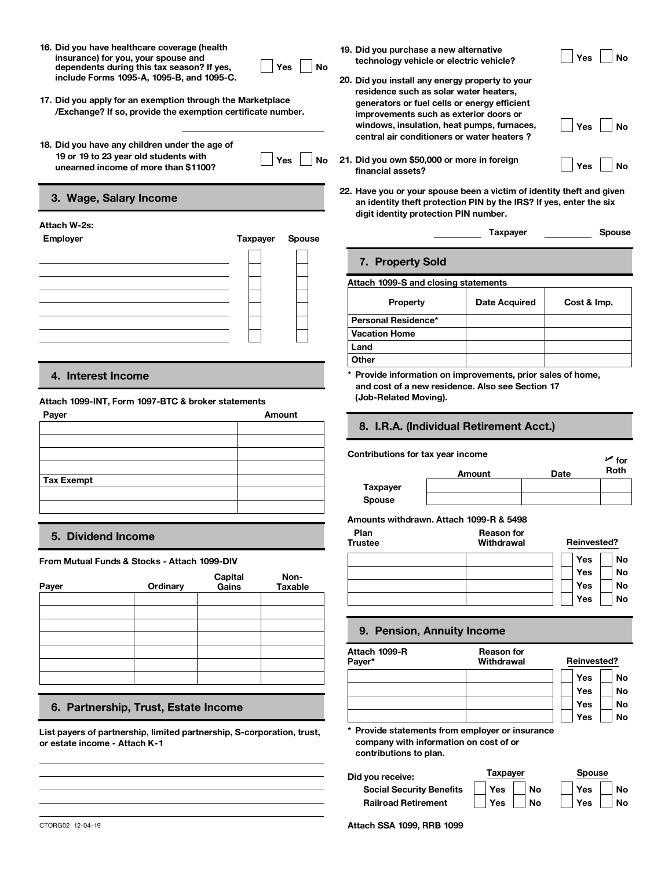**16. Did you have healthcare coverage (health insurance) for you, your spouse and dependents during this tax season? If yes, include Forms 1095-A, 1095-B, and 1095-C.**

| ٦<br>י ∩⊂ | п |
|-----------|---|
|           |   |

- **17. Did you apply for an exemption through the Marketplace /Exchange? If so, provide the exemption certificate number.**
- **18. Did you have any children under the age of 19 or 19 to 23 year old students with usion is to z3 year of a students with the computation of the UP of STAR STAR WEIGHT WAS**

| v<br>Ξ<br>۰ |  |
|-------------|--|
|             |  |

## **22. 3. Wage, Salary Income**

| Attach W-2s:<br>Employer | Taxpayer | <b>Spouse</b> |                                      | Taxpayer             | <b>Spouse</b> |
|--------------------------|----------|---------------|--------------------------------------|----------------------|---------------|
|                          |          |               | 7. Property Sold                     |                      |               |
|                          |          |               | Attach 1099-S and closing statements |                      |               |
|                          |          |               | Property                             | <b>Date Acquired</b> | Cost & Imp.   |
|                          |          |               | Personal Residence*                  |                      |               |
|                          |          |               | <b>Vacation Home</b>                 |                      |               |
|                          |          |               | Land                                 |                      |               |

## **4. Interest Income**

## **Attach 1099-INT, Form 1097-BTC & broker statements**

| Payer             | Amount |                                   |                                         |             |                    |  |  |  |
|-------------------|--------|-----------------------------------|-----------------------------------------|-------------|--------------------|--|--|--|
|                   |        |                                   | 8. I.R.A. (Individual Retirement Acct.) |             |                    |  |  |  |
|                   |        | Contributions for tax year income |                                         |             | $\overline{r}$ for |  |  |  |
|                   |        |                                   | Amount                                  | <b>Date</b> | Roth               |  |  |  |
| <b>Tax Exempt</b> |        | <b>Taxpayer</b>                   |                                         |             |                    |  |  |  |
|                   |        | Spouse                            |                                         |             |                    |  |  |  |
|                   |        |                                   |                                         |             |                    |  |  |  |

## **5. Dividend Income**

**From Mutual Funds & Stocks - Attach 1099-DIV**

| Payer | Ordinary | Capital<br>Gains | Non-<br>Taxable |
|-------|----------|------------------|-----------------|
|       |          |                  |                 |
|       |          |                  |                 |
|       |          |                  |                 |
|       |          |                  |                 |
|       |          |                  |                 |
|       |          |                  |                 |
|       |          |                  |                 |
|       |          |                  |                 |

## **6. Partnership, Trust, Estate Income**

**List payers of partnership, limited partnership, S-corporation, trust, or estate income - Attach K-1**

- **19. Did you purchase a new alternative technology vehicle or electric vehicle?**  $\Box$  Yes  $\Box$  No
- **20. Did you install any energy property to your residence such as solar water heaters, generators or fuel cells or energy efficient improvements such as exterior doors or windows, insulation, heat pumps, furnaces, central air conditioners or water heaters ?**
- **financial assets?** 21. Did you own \$50,000 or more in foreign Yes No
- **Have you or your spouse been a victim of identity theft and given an identity theft protection PIN by the IRS? If yes, enter the six digit identity protection PIN number.**

|         |  | <b>Spous</b> |
|---------|--|--------------|
| axpayer |  |              |

**Yes** No

## **7. Property Sold**

### **Attach 1099-S and closing statements**

| <b>Property</b>      | <b>Date Acquired</b> | Cost & Imp. |
|----------------------|----------------------|-------------|
| Personal Residence*  |                      |             |
| <b>Vacation Home</b> |                      |             |
| Land                 |                      |             |
| Other                |                      |             |

**\* Provide information on improvements, prior sales of home, and cost of a new residence. Also see Section 17 (Job-Related Moving).**

## **8. I.R.A. (Individual Retirement Acct.)**

**Contributions for tax year income** UP of the UP for **Spouse Amounts withdrawn. Attach 1099-R & 5498 Plan Reason for**

| Reinvested? |  |  |
|-------------|--|--|
| No          |  |  |
| <b>No</b>   |  |  |
| No          |  |  |
| No          |  |  |
|             |  |  |

### **9. Pension, Annuity Income**

**Attach 1099-R Payer\* Reason for Withdrawal Reinvested? Yes Yes Yes Yes No No No No**

**\* Provide statements from employer or insurance company with information on cost of or contributions to plan.**

**Did you receive:** Ta **Social Security Benefits Railroad Retirement**

| Taxpayer |           | <b>Spouse</b> |           |
|----------|-----------|---------------|-----------|
| Yes      | <b>No</b> | Yes           | <b>No</b> |
| Yes      | No        | Yes           | No        |

CTORG02 12-04-19 **Attach SSA 1099, RRB 1099**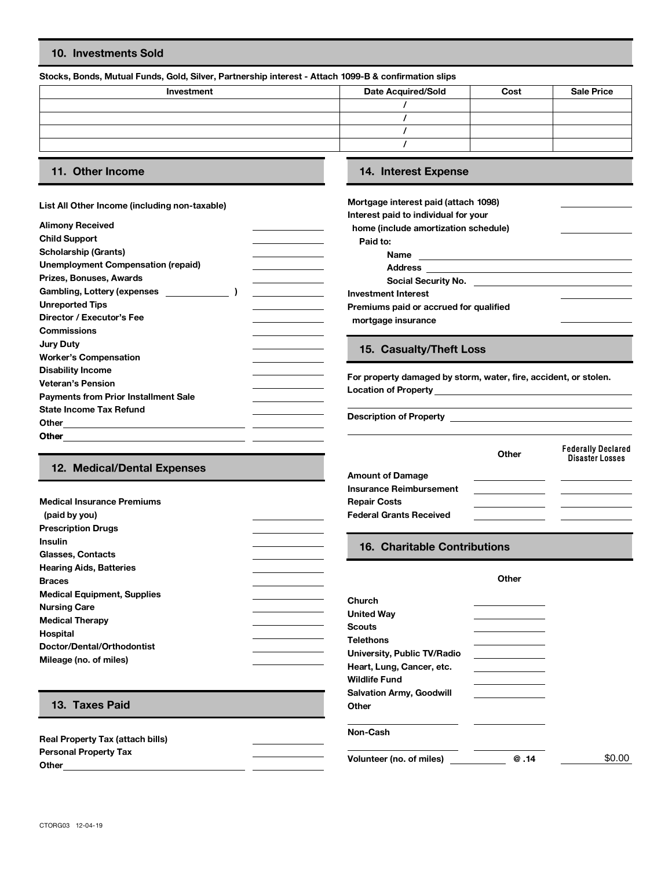## **10. Investments Sold**

## **Stocks, Bonds, Mutual Funds, Gold, Silver, Partnership interest - Attach 1099-B & confirmation slips**

| Investment | <b>Date Acquired/Sold</b> | Cost | <b>Sale Price</b> |
|------------|---------------------------|------|-------------------|
|            |                           |      |                   |
|            |                           |      |                   |
|            |                           |      |                   |
|            |                           |      |                   |
|            |                           |      |                   |

**Medical Insurance Premiums**

 **(paid by you) Prescription Drugs**

### **List All Other Income (including non-taxable)**

| <b>Alimony Received</b>                     |  | home (include ame          |
|---------------------------------------------|--|----------------------------|
| <b>Child Support</b>                        |  | Paid to:                   |
| <b>Scholarship (Grants)</b>                 |  | <b>Name</b>                |
| <b>Unemployment Compensation (repaid)</b>   |  | <b>Address</b>             |
| Prizes, Bonuses, Awards                     |  | <b>Social Sec</b>          |
| Gambling, Lottery (expenses                 |  | <b>Investment Interest</b> |
| <b>Unreported Tips</b>                      |  | Premiums paid or a         |
| Director / Executor's Fee                   |  | mortgage insurano          |
| <b>Commissions</b>                          |  |                            |
| <b>Jury Duty</b>                            |  |                            |
| <b>Worker's Compensation</b>                |  | 15. Casualty               |
| <b>Disability Income</b>                    |  |                            |
| <b>Veteran's Pension</b>                    |  | For property damag         |
| <b>Payments from Prior Installment Sale</b> |  | <b>Location of Propert</b> |
| <b>State Income Tax Refund</b>              |  |                            |
| Other                                       |  | <b>Description of Prop</b> |
| <b>Other</b>                                |  |                            |
|                                             |  |                            |

## **11. Other Income 14. Interest Expense**

| Mortgage interest paid (attach 1098)   |  |
|----------------------------------------|--|
| Interest paid to individual for your   |  |
| home (include amortization schedule)   |  |
| Paid to:                               |  |
| Name                                   |  |
| <b>Address</b>                         |  |
| Social Security No.                    |  |
| Investment Interest                    |  |
| Premiums paid or accrued for qualified |  |
| mortgage insurance                     |  |
|                                        |  |

## **15. Casualty/Theft Loss**

For property damaged by storm, water, fire, accident, or stolen. **Location of Property**

**Description of Property**

|                             |                                | Other | <b>Federally Declared</b><br>Disaster Losses |
|-----------------------------|--------------------------------|-------|----------------------------------------------|
| 12. Medical/Dental Expenses | <b>Amount of Damage</b>        |       |                                              |
|                             | <b>Insurance Reimbursement</b> |       |                                              |
| dical Insurance Premiums    | <b>Repair Costs</b>            |       |                                              |
| aid by you)                 | <b>Federal Grants Received</b> |       |                                              |

| <b>Insulin</b><br>Glasses, Contacts                                                                                                                                                                        | 16. Charitable Contributions                                                                                                                                |       |
|------------------------------------------------------------------------------------------------------------------------------------------------------------------------------------------------------------|-------------------------------------------------------------------------------------------------------------------------------------------------------------|-------|
| <b>Hearing Aids, Batteries</b><br><b>Braces</b><br><b>Medical Equipment, Supplies</b><br><b>Nursing Care</b><br><b>Medical Therapy</b><br>Hospital<br>Doctor/Dental/Orthodontist<br>Mileage (no. of miles) | <b>Church</b><br><b>United Way</b><br><b>Scouts</b><br><b>Telethons</b><br>University, Public TV/Radio<br>Heart, Lung, Cancer, etc.<br><b>Wildlife Fund</b> | Other |
| 13. Taxes Paid                                                                                                                                                                                             | <b>Salvation Army, Goodwill</b><br>Other                                                                                                                    |       |
| Real Property Tax (attach bills)                                                                                                                                                                           | Non-Cash                                                                                                                                                    |       |

**Personal Property Tax**<br> **Other**<br> **Other**<br> **Other**<br> **Other**<br> **Other**<br> **Other**<br> **Other**<br> **Other**<br> **Other**<br> **Other**<br> **Other**<br> **Other**<br> **Deta**<br> **Deta**<br> **Deta**<br> **Deta**<br> **Deta**<br> **Deta**<br> **Deta**<br> **Deta**<br> **Deta**<br> **Deta**<br> **Deta**<br>

\$0.00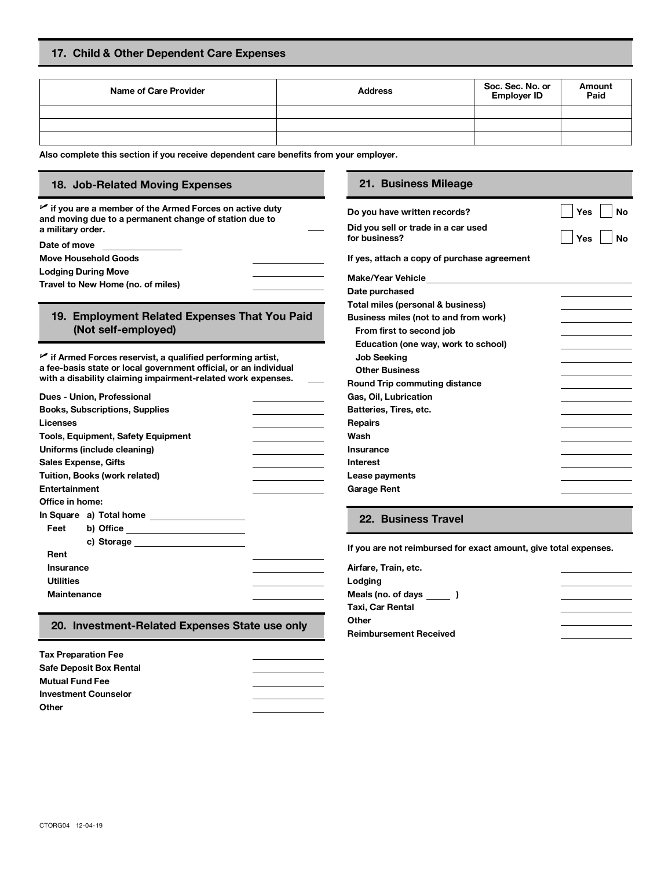## **17. Child & Other Dependent Care Expenses**

| Name of Care Provider | <b>Address</b> | Soc. Sec. No. or<br><b>Employer ID</b> | Amount<br>Paid |
|-----------------------|----------------|----------------------------------------|----------------|
|                       |                |                                        |                |
|                       |                |                                        |                |
|                       |                |                                        |                |

**Also complete this section if you receive dependent care benefits from your employer.**

## **18. Job-Related Moving Expenses 21. Business Mileage**

U **if you are a member of the Armed Forces on active duty and moving due to a permanent change of station due to a military order.**

**Lodging During Move** 

**Data purchase of miles Changeda Travel to New Home (no. of miles)** 

## **19. Employment Related Expenses That You Paid (Not self-employed)**

U **if Armed Forces reservist, a qualified performing artist, a fee-basis state or local government official, or an individual with a disability claiming impairment-related work expenses.**

|                    | Dues - Union, Professional                | Gas, Oil        |
|--------------------|-------------------------------------------|-----------------|
|                    | <b>Books, Subscriptions, Supplies</b>     | <b>Batterie</b> |
| Licenses           |                                           | <b>Repairs</b>  |
|                    | <b>Tools, Equipment, Safety Equipment</b> | Wash            |
|                    | Uniforms (include cleaning)               | <b>Insuran</b>  |
|                    | <b>Sales Expense, Gifts</b>               | <b>Interest</b> |
|                    | Tuition, Books (work related)             | Lease p         |
| Entertainment      |                                           | Garage          |
| Office in home:    |                                           |                 |
|                    |                                           | 22.             |
| Feet               |                                           |                 |
|                    |                                           |                 |
| Rent               |                                           | If you ar       |
| Insurance          |                                           | Airfare,        |
| <b>Utilities</b>   |                                           | Lodging         |
| <b>Maintenance</b> |                                           | Meals (i        |
|                    |                                           | . <del>.</del>  |

## **20. Investment-Related Expenses State use only**

| <b>Tax Preparation Fee</b>     |  |
|--------------------------------|--|
| <b>Safe Deposit Box Rental</b> |  |
| <b>Mutual Fund Fee</b>         |  |
| <b>Investment Counselor</b>    |  |
| Other                          |  |

| $\sim$ 11 you are a member of the Armed Forces on active duty. | Do vou have written records?        | Yes |
|----------------------------------------------------------------|-------------------------------------|-----|
| and moving due to a permanent change of station due to         |                                     |     |
| a militarv order.                                              | Did you sell or trade in a car used |     |
| Date of move                                                   | for business?                       | Yes |

**Move Household Goods If yes, attach a copy of purchase agreement**

| Make/Year Vehicle                     |  |
|---------------------------------------|--|
| Date purchased                        |  |
| Total miles (personal & business)     |  |
| Business miles (not to and from work) |  |
| From first to second job              |  |
| Education (one way, work to school)   |  |
| <b>Job Seeking</b>                    |  |
| <b>Other Business</b>                 |  |
| <b>Round Trip commuting distance</b>  |  |
| Gas, Oil, Lubrication                 |  |
| Batteries, Tires, etc.                |  |
| Repairs                               |  |
| Wash                                  |  |
| Insurance                             |  |
| Interest                              |  |
| Lease payments                        |  |
| Garage Rent                           |  |
|                                       |  |

**Yes**

**No**

**No**

## **22. Business Travel**

If you are not reimbursed for exact amount, give total expenses.

| Airfare, Train, etc.          |  |
|-------------------------------|--|
| Lodging                       |  |
| Meals (no. of days )          |  |
| Taxi, Car Rental              |  |
| Other                         |  |
| <b>Reimbursement Received</b> |  |
|                               |  |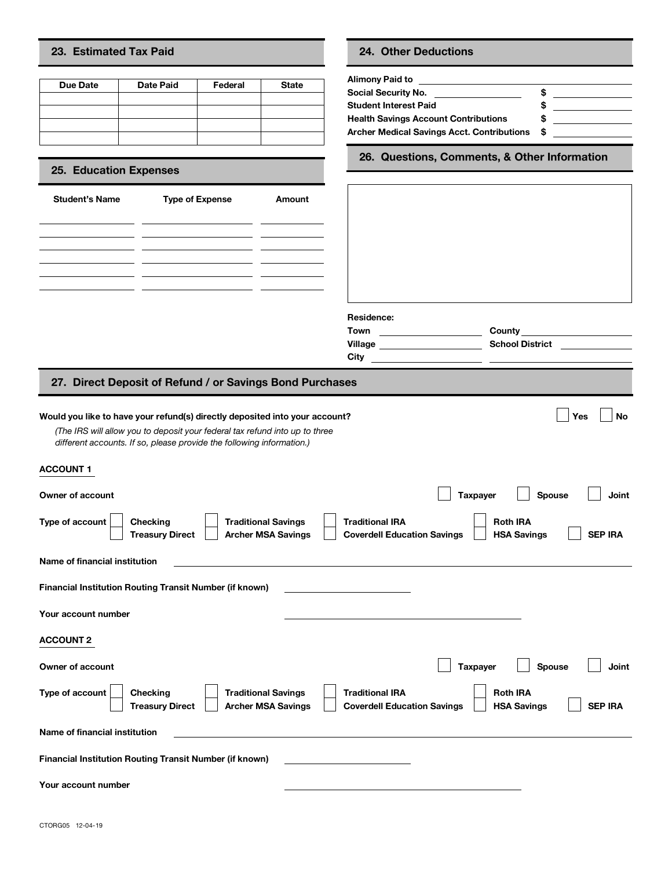## **23. Estimated Tax Paid 24. Other Deductions**

| Due Date | Date Paid | Federal | <b>State</b> | <b>Alimony Paid to</b>                           |
|----------|-----------|---------|--------------|--------------------------------------------------|
|          |           |         |              | <b>Social Security</b><br><b>Student Interes</b> |
|          |           |         |              | Health Savings                                   |
|          |           |         |              | <b>Archer Medical</b>                            |
|          |           |         |              |                                                  |

## **25. Education Expenses**

| <b>Student's Name</b>                                                                                                | <b>Type of Expense</b> | Amount |
|----------------------------------------------------------------------------------------------------------------------|------------------------|--------|
|                                                                                                                      |                        |        |
|                                                                                                                      |                        |        |
| <u> 1986 - Andrea Albert III, politik a postaj de la provincia de la provincia de la provincia de la provincia d</u> |                        |        |
|                                                                                                                      |                        |        |
|                                                                                                                      |                        |        |
|                                                                                                                      |                        |        |
|                                                                                                                      |                        |        |

| Social Security No.                         | s |  |
|---------------------------------------------|---|--|
| <b>Student Interest Paid</b>                |   |  |
| <b>Health Savings Account Contributions</b> |   |  |
| Archer Medical Savings Acct. Contributions  | S |  |

**26. Questions, Comments, & Other Information**

| esidence: |        |
|-----------|--------|
| .<br>own  | County |
|           |        |

## **Residence:**



## **27. Direct Deposit of Refund / or Savings Bond Purchases**

## **Would you like to have your refund(s) directly deposited into your account? Would you like to have your refund(s) directly deposited into your account?**

*(The IRS will allow you to deposit your federal tax refund into up to three different accounts. If so, please provide the following information.)* 

| .                                                                                                                       |                                                                                                                         |
|-------------------------------------------------------------------------------------------------------------------------|-------------------------------------------------------------------------------------------------------------------------|
| Owner of account                                                                                                        | Spouse<br><b>Taxpayer</b><br>Joint                                                                                      |
| Type of account<br><b>Traditional Savings</b><br><b>Checking</b><br><b>Archer MSA Savings</b><br><b>Treasury Direct</b> | <b>Traditional IRA</b><br><b>Roth IRA</b><br><b>Coverdell Education Savings</b><br><b>HSA Savings</b><br><b>SEP IRA</b> |
| Name of financial institution                                                                                           |                                                                                                                         |
| <b>Financial Institution Routing Transit Number (if known)</b>                                                          |                                                                                                                         |
| Your account number                                                                                                     |                                                                                                                         |
| <b>ACCOUNT 2</b>                                                                                                        |                                                                                                                         |
| Owner of account                                                                                                        | Spouse<br><b>Joint</b><br><b>Taxpayer</b>                                                                               |
| Type of account<br><b>Traditional Savings</b><br>Checking<br><b>Treasury Direct</b><br><b>Archer MSA Savings</b>        | <b>Traditional IRA</b><br><b>Roth IRA</b><br><b>SEP IRA</b><br><b>HSA Savings</b><br><b>Coverdell Education Savings</b> |
| Name of financial institution                                                                                           |                                                                                                                         |
| Financial Institution Routing Transit Number (if known)                                                                 |                                                                                                                         |
| Your account number                                                                                                     |                                                                                                                         |

**ACCOUNT 1**